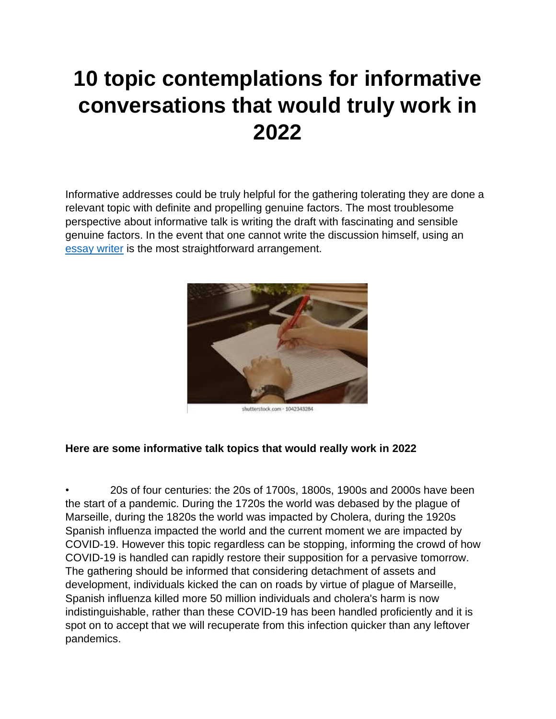## **10 topic contemplations for informative conversations that would truly work in 2022**

Informative addresses could be truly helpful for the gathering tolerating they are done a relevant topic with definite and propelling genuine factors. The most troublesome perspective about informative talk is writing the draft with fascinating and sensible genuine factors. In the event that one cannot write the discussion himself, using an [essay writer](https://youressaywriter.net/) is the most straightforward arrangement.



shutterstock.com - 1042343284

## **Here are some informative talk topics that would really work in 2022**

• 20s of four centuries: the 20s of 1700s, 1800s, 1900s and 2000s have been the start of a pandemic. During the 1720s the world was debased by the plague of Marseille, during the 1820s the world was impacted by Cholera, during the 1920s Spanish influenza impacted the world and the current moment we are impacted by COVID-19. However this topic regardless can be stopping, informing the crowd of how COVID-19 is handled can rapidly restore their supposition for a pervasive tomorrow. The gathering should be informed that considering detachment of assets and development, individuals kicked the can on roads by virtue of plague of Marseille, Spanish influenza killed more 50 million individuals and cholera's harm is now indistinguishable, rather than these COVID-19 has been handled proficiently and it is spot on to accept that we will recuperate from this infection quicker than any leftover pandemics.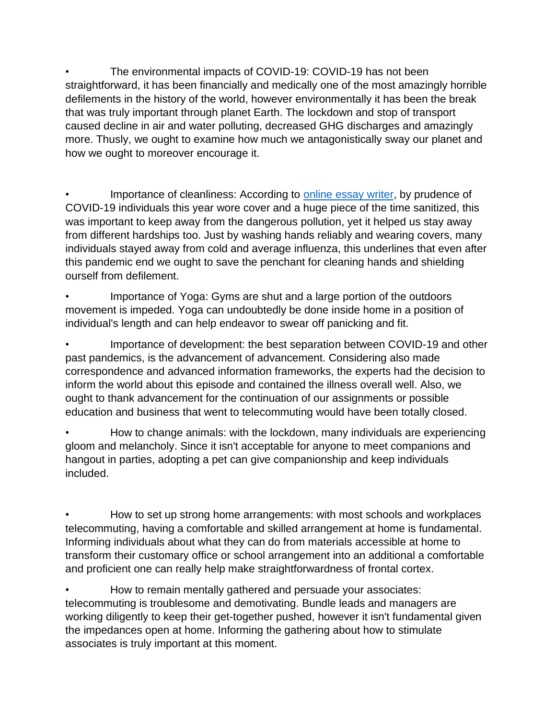The environmental impacts of COVID-19: COVID-19 has not been straightforward, it has been financially and medically one of the most amazingly horrible defilements in the history of the world, however environmentally it has been the break that was truly important through planet Earth. The lockdown and stop of transport caused decline in air and water polluting, decreased GHG discharges and amazingly more. Thusly, we ought to examine how much we antagonistically sway our planet and how we ought to moreover encourage it.

Importance of cleanliness: According to [online essay writer,](https://youressaywriter.net/) by prudence of COVID-19 individuals this year wore cover and a huge piece of the time sanitized, this was important to keep away from the dangerous pollution, yet it helped us stay away from different hardships too. Just by washing hands reliably and wearing covers, many individuals stayed away from cold and average influenza, this underlines that even after this pandemic end we ought to save the penchant for cleaning hands and shielding ourself from defilement.

Importance of Yoga: Gyms are shut and a large portion of the outdoors movement is impeded. Yoga can undoubtedly be done inside home in a position of individual's length and can help endeavor to swear off panicking and fit.

• Importance of development: the best separation between COVID-19 and other past pandemics, is the advancement of advancement. Considering also made correspondence and advanced information frameworks, the experts had the decision to inform the world about this episode and contained the illness overall well. Also, we ought to thank advancement for the continuation of our assignments or possible education and business that went to telecommuting would have been totally closed.

• How to change animals: with the lockdown, many individuals are experiencing gloom and melancholy. Since it isn't acceptable for anyone to meet companions and hangout in parties, adopting a pet can give companionship and keep individuals included.

• How to set up strong home arrangements: with most schools and workplaces telecommuting, having a comfortable and skilled arrangement at home is fundamental. Informing individuals about what they can do from materials accessible at home to transform their customary office or school arrangement into an additional a comfortable and proficient one can really help make straightforwardness of frontal cortex.

• How to remain mentally gathered and persuade your associates: telecommuting is troublesome and demotivating. Bundle leads and managers are working diligently to keep their get-together pushed, however it isn't fundamental given the impedances open at home. Informing the gathering about how to stimulate associates is truly important at this moment.